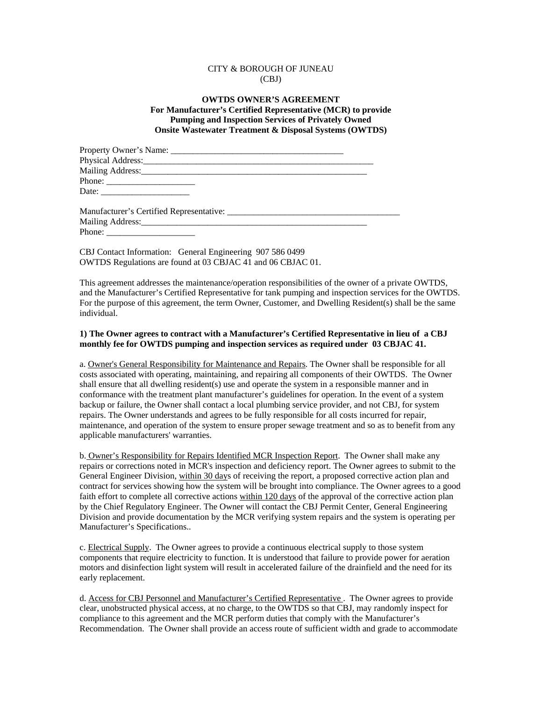## CITY & BOROUGH OF JUNEAU (CBJ)

## **OWTDS OWNER'S AGREEMENT For Manufacturer's Certified Representative (MCR) to provide Pumping and Inspection Services of Privately Owned Onsite Wastewater Treatment & Disposal Systems (OWTDS)**

| Mailing Address: Mailing Address:                                                                                                                                                                                                                                                                                                                                                                             |  |
|---------------------------------------------------------------------------------------------------------------------------------------------------------------------------------------------------------------------------------------------------------------------------------------------------------------------------------------------------------------------------------------------------------------|--|
|                                                                                                                                                                                                                                                                                                                                                                                                               |  |
| Date: $\frac{1}{\sqrt{1-\frac{1}{2}}\sqrt{1-\frac{1}{2}}\sqrt{1-\frac{1}{2}}\sqrt{1-\frac{1}{2}}\sqrt{1-\frac{1}{2}}\sqrt{1-\frac{1}{2}}\sqrt{1-\frac{1}{2}}\sqrt{1-\frac{1}{2}}\sqrt{1-\frac{1}{2}}\sqrt{1-\frac{1}{2}}\sqrt{1-\frac{1}{2}}\sqrt{1-\frac{1}{2}}\sqrt{1-\frac{1}{2}}\sqrt{1-\frac{1}{2}}\sqrt{1-\frac{1}{2}}\sqrt{1-\frac{1}{2}}\sqrt{1-\frac{1}{2}}\sqrt{1-\frac{1}{2}}\sqrt{1-\frac{1}{2}}$ |  |
|                                                                                                                                                                                                                                                                                                                                                                                                               |  |
| Manufacturer's Certified Representative:                                                                                                                                                                                                                                                                                                                                                                      |  |

| Manufacturer's Certified Representative: |  |
|------------------------------------------|--|
| Mailing Address:                         |  |
| Phone:                                   |  |

CBJ Contact Information: General Engineering 907 586 0499 OWTDS Regulations are found at 03 CBJAC 41 and 06 CBJAC 01.

This agreement addresses the maintenance/operation responsibilities of the owner of a private OWTDS, and the Manufacturer's Certified Representative for tank pumping and inspection services for the OWTDS. For the purpose of this agreement, the term Owner, Customer, and Dwelling Resident(s) shall be the same individual.

## **1) The Owner agrees to contract with a Manufacturer's Certified Representative in lieu of a CBJ monthly fee for OWTDS pumping and inspection services as required under 03 CBJAC 41.**

a. Owner's General Responsibility for Maintenance and Repairs. The Owner shall be responsible for all costs associated with operating, maintaining, and repairing all components of their OWTDS. The Owner shall ensure that all dwelling resident(s) use and operate the system in a responsible manner and in conformance with the treatment plant manufacturer's guidelines for operation. In the event of a system backup or failure, the Owner shall contact a local plumbing service provider, and not CBJ, for system repairs. The Owner understands and agrees to be fully responsible for all costs incurred for repair, maintenance, and operation of the system to ensure proper sewage treatment and so as to benefit from any applicable manufacturers' warranties.

b. Owner's Responsibility for Repairs Identified MCR Inspection Report. The Owner shall make any repairs or corrections noted in MCR's inspection and deficiency report. The Owner agrees to submit to the General Engineer Division, within 30 days of receiving the report, a proposed corrective action plan and contract for services showing how the system will be brought into compliance. The Owner agrees to a good faith effort to complete all corrective actions within 120 days of the approval of the corrective action plan by the Chief Regulatory Engineer. The Owner will contact the CBJ Permit Center, General Engineering Division and provide documentation by the MCR verifying system repairs and the system is operating per Manufacturer's Specifications..

c. Electrical Supply. The Owner agrees to provide a continuous electrical supply to those system components that require electricity to function. It is understood that failure to provide power for aeration motors and disinfection light system will result in accelerated failure of the drainfield and the need for its early replacement.

d. Access for CBJ Personnel and Manufacturer's Certified Representative . The Owner agrees to provide clear, unobstructed physical access, at no charge, to the OWTDS so that CBJ, may randomly inspect for compliance to this agreement and the MCR perform duties that comply with the Manufacturer's Recommendation. The Owner shall provide an access route of sufficient width and grade to accommodate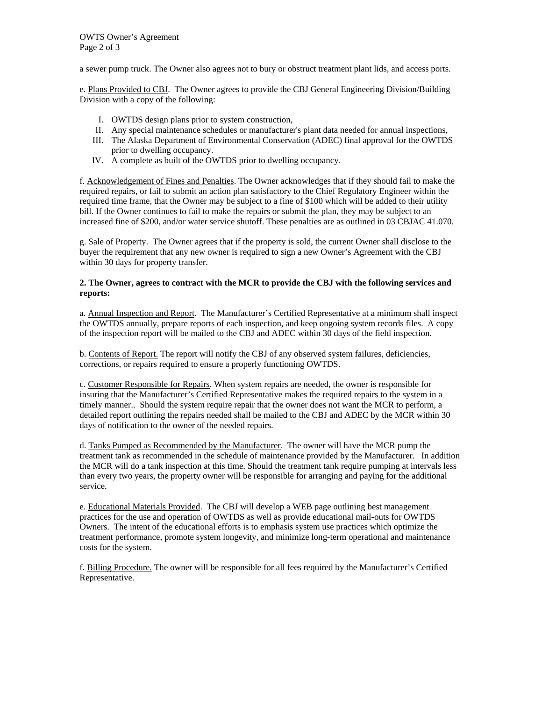OWTS Owner's Agreement Page 2 of 3

a sewer pump truck. The Owner also agrees not to bury or obstruct treatment plant lids, and access ports.

e. Plans Provided to CBJ. The Owner agrees to provide the CBJ General Engineering Division/Building Division with a copy of the following:

- I. OWTDS design plans prior to system construction,
- II. Any special maintenance schedules or manufacturer's plant data needed for annual inspections,
- III. The Alaska Department of Environmental Conservation (ADEC) final approval for the OWTDS prior to dwelling occupancy.
- IV. A complete as built of the OWTDS prior to dwelling occupancy.

f. Acknowledgement of Fines and Penalties. The Owner acknowledges that if they should fail to make the required repairs, or fail to submit an action plan satisfactory to the Chief Regulatory Engineer within the required time frame, that the Owner may be subject to a fine of \$100 which will be added to their utility bill. If the Owner continues to fail to make the repairs or submit the plan, they may be subject to an increased fine of \$200, and/or water service shutoff. These penalties are as outlined in 03 CBJAC 41.070.

g. Sale of Property. The Owner agrees that if the property is sold, the current Owner shall disclose to the buyer the requirement that any new owner is required to sign a new Owner's Agreement with the CBJ within 30 days for property transfer.

#### **2. The Owner, agrees to contract with the MCR to provide the CBJ with the following services and reports:**

a. Annual Inspection and Report. The Manufacturer's Certified Representative at a minimum shall inspect the OWTDS annually, prepare reports of each inspection, and keep ongoing system records files. A copy of the inspection report will be mailed to the CBJ and ADEC within 30 days of the field inspection.

b. Contents of Report. The report will notify the CBJ of any observed system failures, deficiencies, corrections, or repairs required to ensure a properly functioning OWTDS.

c. Customer Responsible for Repairs. When system repairs are needed, the owner is responsible for insuring that the Manufacturer's Certified Representative makes the required repairs to the system in a timely manner.. Should the system require repair that the owner does not want the MCR to perform, a detailed report outlining the repairs needed shall be mailed to the CBJ and ADEC by the MCR within 30 days of notification to the owner of the needed repairs.

d. Tanks Pumped as Recommended by the Manufacturer. The owner will have the MCR pump the treatment tank as recommended in the schedule of maintenance provided by the Manufacturer. In addition the MCR will do a tank inspection at this time. Should the treatment tank require pumping at intervals less than every two years, the property owner will be responsible for arranging and paying for the additional service.

e. Educational Materials Provided. The CBJ will develop a WEB page outlining best management practices for the use and operation of OWTDS as well as provide educational mail-outs for OWTDS Owners. The intent of the educational efforts is to emphasis system use practices which optimize the treatment performance, promote system longevity, and minimize long-term operational and maintenance costs for the system.

f. Billing Procedure. The owner will be responsible for all fees required by the Manufacturer's Certified Representative.